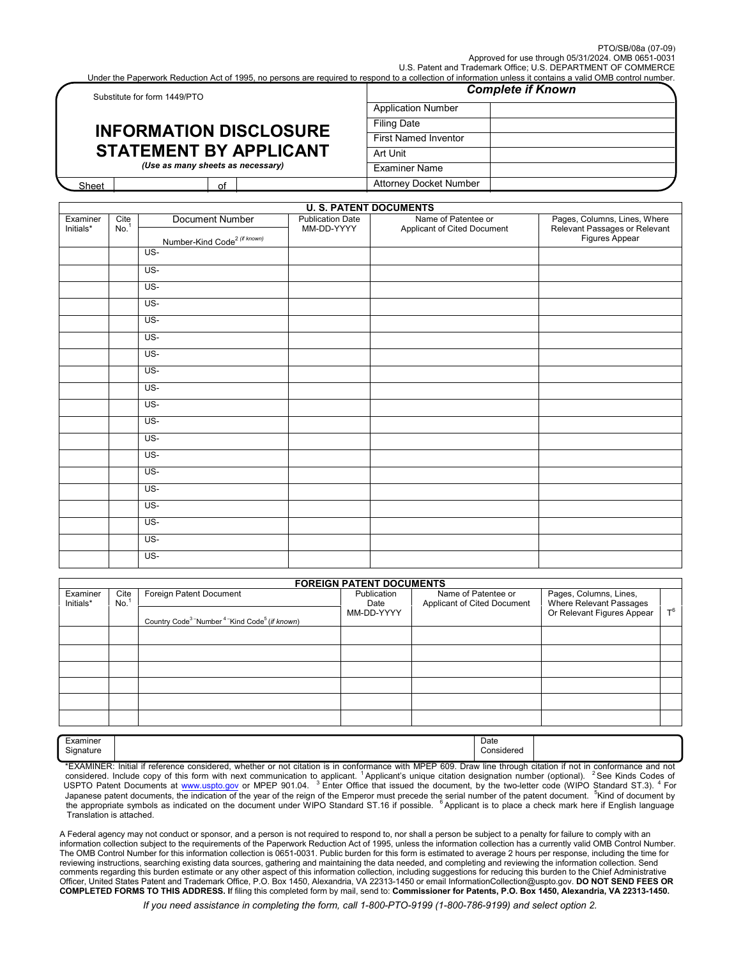Under the Paperwork Reduction Act of 1995, no persons are required to respond to a collection of information unless it contains a valid OMB control number.

| Substitute for form 1449/PTO                                                                        |    | <b>Complete if Known</b> |                             |  |  |
|-----------------------------------------------------------------------------------------------------|----|--------------------------|-----------------------------|--|--|
|                                                                                                     |    |                          | <b>Application Number</b>   |  |  |
| <b>INFORMATION DISCLOSURE</b><br><b>STATEMENT BY APPLICANT</b><br>(Use as many sheets as necessary) |    |                          | <b>Filing Date</b>          |  |  |
|                                                                                                     |    |                          | <b>First Named Inventor</b> |  |  |
|                                                                                                     |    |                          | Art Unit                    |  |  |
|                                                                                                     |    |                          | Examiner Name               |  |  |
| Sheet                                                                                               | of |                          | Attorney Docket Number      |  |  |

|                       |                   |                                                             | <b>U. S. PATENT DOCUMENTS</b>         |                                                    |                                                                                 |
|-----------------------|-------------------|-------------------------------------------------------------|---------------------------------------|----------------------------------------------------|---------------------------------------------------------------------------------|
| Examiner<br>Initials* | $Cite$<br>No. $1$ | Document Number<br>Number-Kind Code <sup>2 (if known)</sup> | <b>Publication Date</b><br>MM-DD-YYYY | Name of Patentee or<br>Applicant of Cited Document | Pages, Columns, Lines, Where<br>Relevant Passages or Relevant<br>Figures Appear |
|                       |                   | US-                                                         |                                       |                                                    |                                                                                 |
|                       |                   | US-                                                         |                                       |                                                    |                                                                                 |
|                       |                   | US-                                                         |                                       |                                                    |                                                                                 |
|                       |                   | $US -$                                                      |                                       |                                                    |                                                                                 |
|                       |                   | US-                                                         |                                       |                                                    |                                                                                 |
|                       |                   | US-                                                         |                                       |                                                    |                                                                                 |
|                       |                   | $US -$                                                      |                                       |                                                    |                                                                                 |
|                       |                   | $US -$                                                      |                                       |                                                    |                                                                                 |
|                       |                   | US-                                                         |                                       |                                                    |                                                                                 |
|                       |                   | US-                                                         |                                       |                                                    |                                                                                 |
|                       |                   | US-                                                         |                                       |                                                    |                                                                                 |
|                       |                   | US-                                                         |                                       |                                                    |                                                                                 |
|                       |                   | $US -$                                                      |                                       |                                                    |                                                                                 |
|                       |                   | US-                                                         |                                       |                                                    |                                                                                 |
|                       |                   | $US -$                                                      |                                       |                                                    |                                                                                 |
|                       |                   | $US -$                                                      |                                       |                                                    |                                                                                 |
|                       |                   | US-                                                         |                                       |                                                    |                                                                                 |
|                       |                   | US-                                                         |                                       |                                                    |                                                                                 |
|                       |                   | US-                                                         |                                       |                                                    |                                                                                 |

|                       |             |                                                                                 | <b>FOREIGN PATENT DOCUMENTS</b>   |                                                    |                                                                                 |       |
|-----------------------|-------------|---------------------------------------------------------------------------------|-----------------------------------|----------------------------------------------------|---------------------------------------------------------------------------------|-------|
| Examiner<br>Initials* | Cite<br>No. | Foreign Patent Document                                                         | Publication<br>Date<br>MM-DD-YYYY | Name of Patentee or<br>Applicant of Cited Document | Pages, Columns, Lines,<br>Where Relevant Passages<br>Or Relevant Figures Appear |       |
|                       |             | Country Code <sup>3</sup> Number <sup>4</sup> Kind Code <sup>5</sup> (if known) |                                   |                                                    |                                                                                 | $T^6$ |
|                       |             |                                                                                 |                                   |                                                    |                                                                                 |       |
|                       |             |                                                                                 |                                   |                                                    |                                                                                 |       |
|                       |             |                                                                                 |                                   |                                                    |                                                                                 |       |
|                       |             |                                                                                 |                                   |                                                    |                                                                                 |       |
|                       |             |                                                                                 |                                   |                                                    |                                                                                 |       |
|                       |             |                                                                                 |                                   |                                                    |                                                                                 |       |
|                       |             |                                                                                 |                                   |                                                    |                                                                                 |       |
| Examiner              |             |                                                                                 |                                   | Date                                               |                                                                                 |       |

| сханшег   |
|-----------|
| Signature |

٦

1

Considered

 \*EXAMINER: Initial if reference considered, whether or not citation is in conformance with MPEP 609. Draw line through citation if not in conformance and not<br>considered. Include copy of this form with next communication to USPTO Patent Documents at [www.uspto.gov](http://www.uspto.gov/) or MPEP 901.04. <sup>3</sup> Enter Office that issued the document, by the two-letter code (WIPO Standard ST.3). <sup>4</sup> For Japanese patent documents, the indication of the year of the reign of the Emperor must precede the serial number of the patent document. <sup>5</sup>Kind of document by the appropriate symbols as indicated on the document under WIPO Standard ST.16 if possible. <sup>6</sup>Applicant is to place a check mark here if English language Translation is attached.

 A Federal agency may not conduct or sponsor, and a person is not required to respond to, nor shall a person be subject to a penalty for failure to comply with an information collection subject to the requirements of the Paperwork Reduction Act of 1995, unless the information collection has a currently valid OMB Control Number.  comments regarding this burden estimate or any other aspect of this information collection, including suggestions for reducing this burden to the Chief Administrative The OMB Control Number for this information collection is 0651-0031. Public burden for this form is estimated to average 2 hours per response, including the time for reviewing instructions, searching existing data sources, gathering and maintaining the data needed, and completing and reviewing the information collection. Send Officer, United States Patent and Trademark Office, P.O. Box 1450, Alexandria, VA 22313-1450 or email InformationCollection@uspto.gov. **DO NOT SEND FEES OR COMPLETED FORMS TO THIS ADDRESS. I**f filing this completed form by mail, send to: **Commissioner for Patents, P.O. Box 1450, Alexandria, VA 22313-1450.**

*If you need assistance in completing the form, call 1-800-PTO-9199 (1-800-786-9199) and select option 2.*